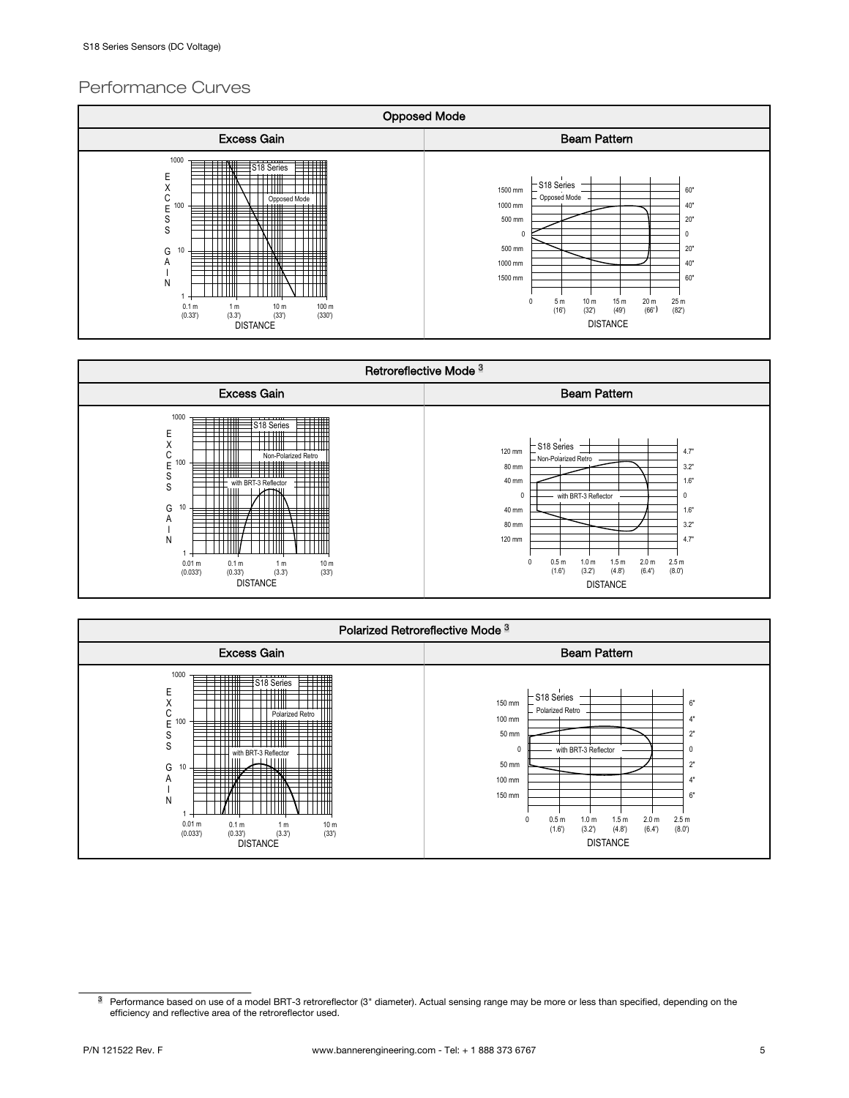## Performance Curves







<sup>&</sup>lt;sup>3</sup> Performance based on use of a model BRT-3 retroreflector (3" diameter). Actual sensing range may be more or less than specified, depending on the efficiency and reflective area of the retroreflector used.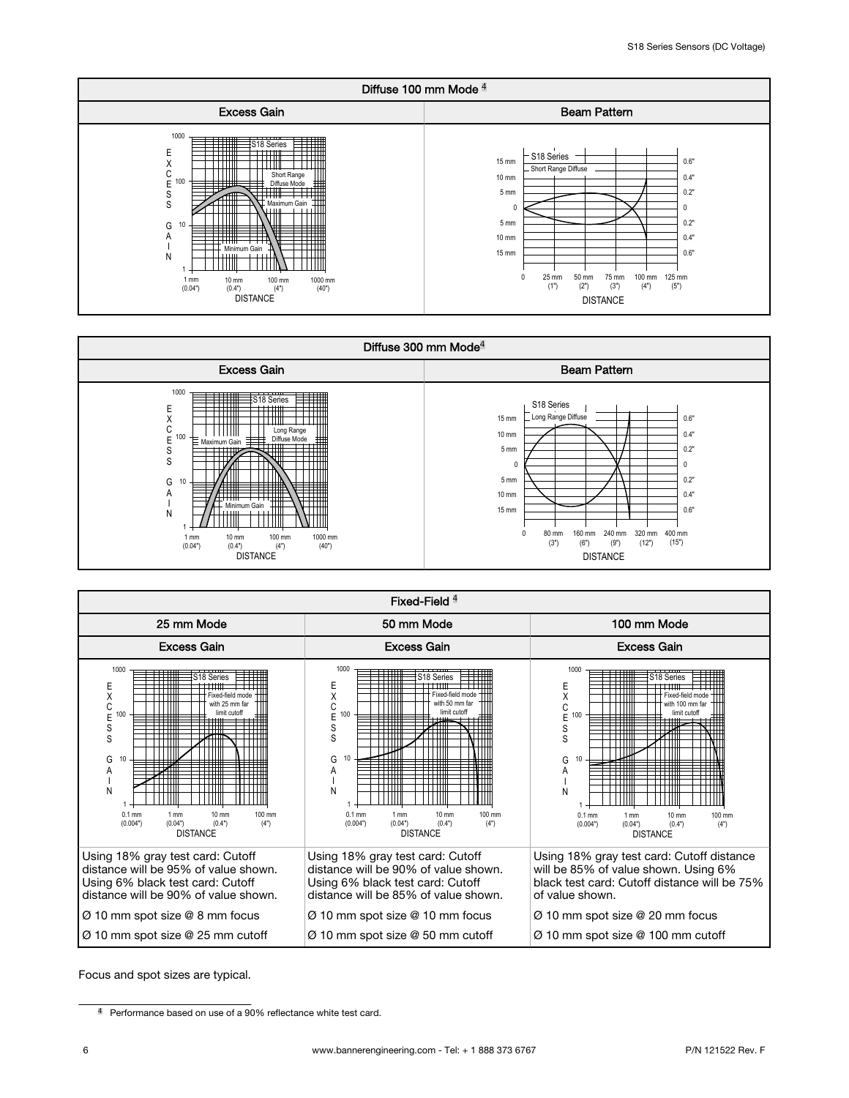





Focus and spot sizes are typical.

<sup>&</sup>lt;sup>4</sup> Performance based on use of a 90% reflectance white test card.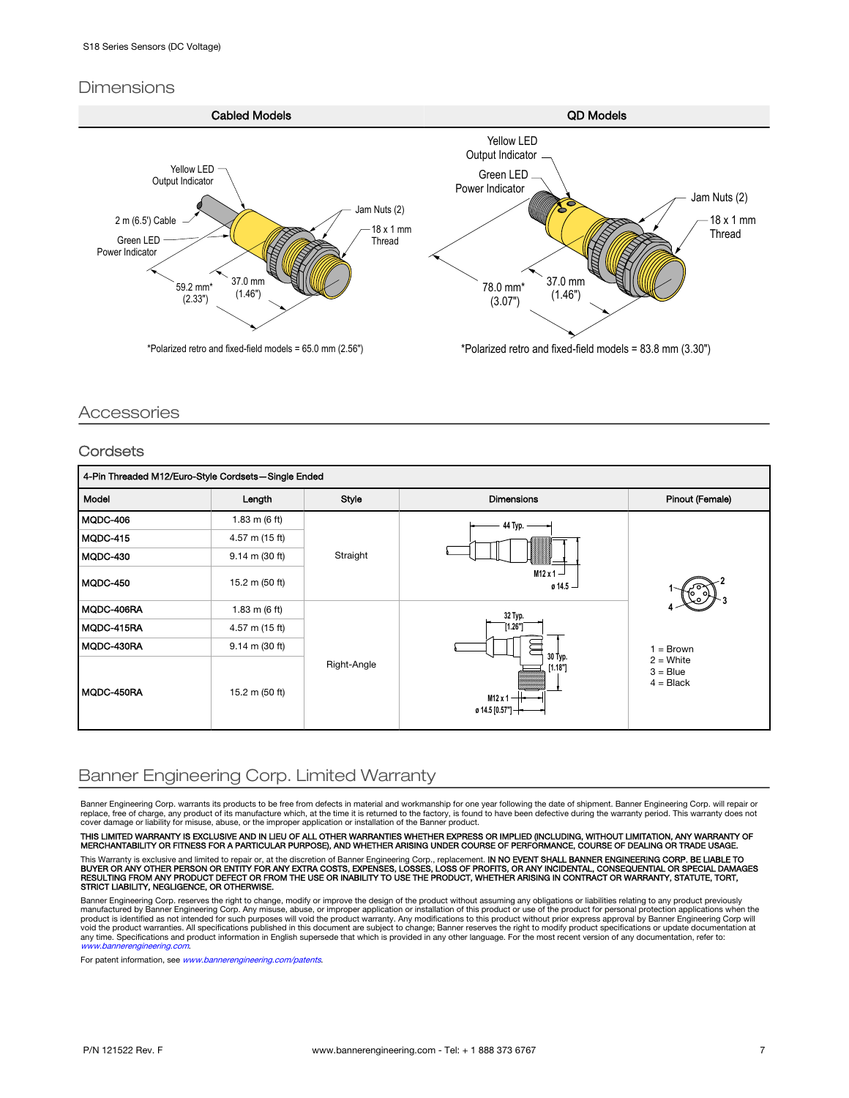### **Dimensions**



### Accessories

#### **Cordsets**

| 4-Pin Threaded M12/Euro-Style Cordsets-Single Ended |                 |             |                                                                                                        |                                                       |
|-----------------------------------------------------|-----------------|-------------|--------------------------------------------------------------------------------------------------------|-------------------------------------------------------|
| Model                                               | Length          | Style       | <b>Dimensions</b>                                                                                      | Pinout (Female)                                       |
| MQDC-406                                            | 1.83 m $(6 ft)$ | Straight    | 44 Typ.                                                                                                |                                                       |
| MQDC-415                                            | 4.57 m (15 ft)  |             |                                                                                                        |                                                       |
| MQDC-430                                            | 9.14 m (30 ft)  |             |                                                                                                        |                                                       |
| MQDC-450                                            | 15.2 m (50 ft)  |             | $M12x1 -$<br>$0.14.5 -$                                                                                |                                                       |
| MQDC-406RA                                          | 1.83 m $(6 ft)$ | Right-Angle | 32 Typ.<br>[1.26"]<br>30 Typ.<br>[1.18"]<br>$M12 \times 1 -$<br>$\emptyset$ 14.5 [0.57"] $\rightarrow$ | $=$ Brown<br>$2 =$ White<br>$3 = Blue$<br>$4 = Black$ |
| MQDC-415RA                                          | 4.57 m (15 ft)  |             |                                                                                                        |                                                       |
| MQDC-430RA                                          | 9.14 m (30 ft)  |             |                                                                                                        |                                                       |
| MQDC-450RA                                          | 15.2 m (50 ft)  |             |                                                                                                        |                                                       |

# Banner Engineering Corp. Limited Warranty

Banner Engineering Corp. warrants its products to be free from defects in material and workmanship for one year following the date of shipment. Banner Engineering Corp. will repair or replace, free of charge, any product of its manufacture which, at the time it is returned to the factory, is found to have been defective during the warranty period. This warranty does not cover damage or liability for misuse, abuse, or the improper application or installation of the Banner product.

THIS LIMITED WARRANTY IS EXCLUSIVE AND IN LIEU OF ALL OTHER WARRANTIES WHETHER EXPRESS OR IMPLIED (INCLUDING, WITHOUT LIMITATION, ANY WARRANTY OF<br>MERCHANTABILITY OR FITNESS FOR A PARTICULAR PURPOSE), AND WHETHER ARISING UN This Warranty is exclusive and limited to repair or, at the discretion of Banner Engineering Corp., replacement. IN NO EVENT SHALL BANNER ENGINEERING CORP. BE LIABLE TO<br>BUYER OR ANY OTHER PERSON OR ENTITY FOR ANY EXTRA COS

Banner Engineering Corp. reserves the right to change, modify or improve the design of the product without assuming any obligations or liabilities relating to any product previously

manufactured by Banner Engineering Corp. Any misuse, abuse, or improper application or installation of this product or use of the product for personal protection applications when the<br>product is identified as not intended [www.bannerengineering.com](http://www.bannerengineering.com).

For patent information, see [www.bannerengineering.com/patents](http://www.bannerengineering.com/patents).